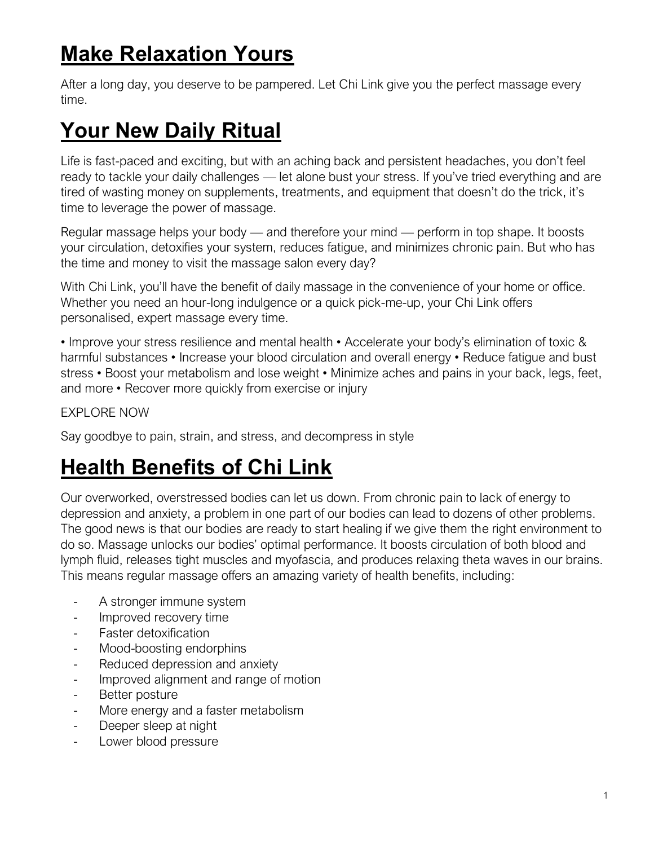# **Make Relaxation Yours**

After a long day, you deserve to be pampered. Let Chi Link give you the perfect massage every time.

# **Your New Daily Ritual**

Life is fast-paced and exciting, but with an aching back and persistent headaches, you don't feel ready to tackle your daily challenges — let alone bust your stress. If you've tried everything and are tired of wasting money on supplements, treatments, and equipment that doesn't do the trick, it's time to leverage the power of massage.

Regular massage helps your body — and therefore your mind — perform in top shape. It boosts your circulation, detoxifies your system, reduces fatigue, and minimizes chronic pain. But who has the time and money to visit the massage salon every day?

With Chi Link, you'll have the benefit of daily massage in the convenience of your home or office. Whether you need an hour-long indulgence or a quick pick-me-up, your Chi Link offers personalised, expert massage every time.

• Improve your stress resilience and mental health • Accelerate your body's elimination of toxic & harmful substances • Increase your blood circulation and overall energy • Reduce fatigue and bust stress • Boost your metabolism and lose weight • Minimize aches and pains in your back, legs, feet, and more • Recover more quickly from exercise or injury

EXPLORE NOW

Say goodbye to pain, strain, and stress, and decompress in style

# **Health Benefits of Chi Link**

Our overworked, overstressed bodies can let us down. From chronic pain to lack of energy to depression and anxiety, a problem in one part of our bodies can lead to dozens of other problems. The good news is that our bodies are ready to start healing if we give them the right environment to do so. Massage unlocks our bodies' optimal performance. It boosts circulation of both blood and lymph fluid, releases tight muscles and myofascia, and produces relaxing theta waves in our brains. This means regular massage offers an amazing variety of health benefits, including:

- A stronger immune system
- Improved recovery time
- Faster detoxification
- Mood-boosting endorphins
- Reduced depression and anxiety
- Improved alignment and range of motion
- Better posture
- More energy and a faster metabolism
- Deeper sleep at night
- Lower blood pressure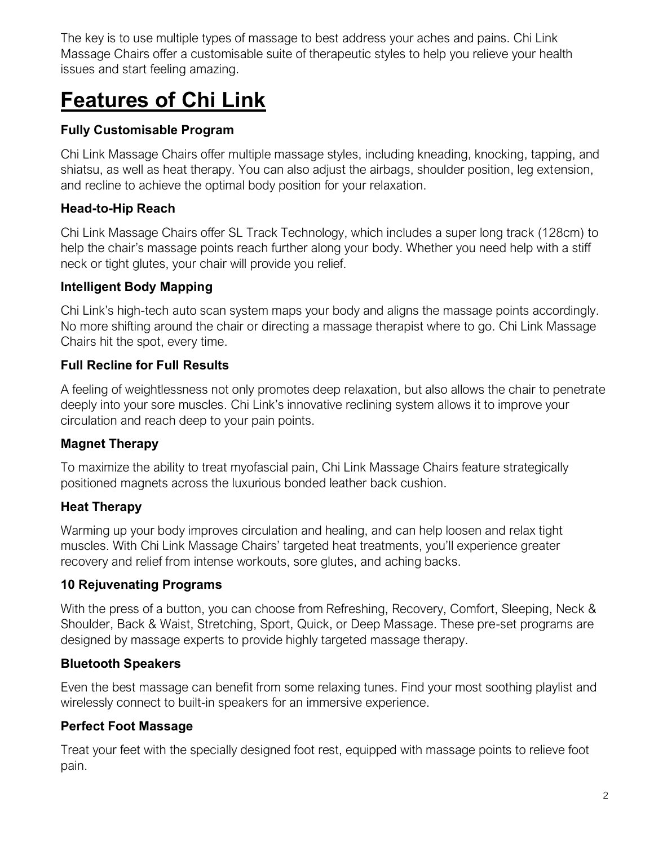The key is to use multiple types of massage to best address your aches and pains. Chi Link Massage Chairs offer a customisable suite of therapeutic styles to help you relieve your health issues and start feeling amazing.

# **Features of Chi Link**

#### **Fully Customisable Program**

Chi Link Massage Chairs offer multiple massage styles, including kneading, knocking, tapping, and shiatsu, as well as heat therapy. You can also adjust the airbags, shoulder position, leg extension, and recline to achieve the optimal body position for your relaxation.

#### **Head-to-Hip Reach**

Chi Link Massage Chairs offer SL Track Technology, which includes a super long track (128cm) to help the chair's massage points reach further along your body. Whether you need help with a stiff neck or tight glutes, your chair will provide you relief.

#### **Intelligent Body Mapping**

Chi Link's high-tech auto scan system maps your body and aligns the massage points accordingly. No more shifting around the chair or directing a massage therapist where to go. Chi Link Massage Chairs hit the spot, every time.

#### **Full Recline for Full Results**

A feeling of weightlessness not only promotes deep relaxation, but also allows the chair to penetrate deeply into your sore muscles. Chi Link's innovative reclining system allows it to improve your circulation and reach deep to your pain points.

#### **Magnet Therapy**

To maximize the ability to treat myofascial pain, Chi Link Massage Chairs feature strategically positioned magnets across the luxurious bonded leather back cushion.

#### **Heat Therapy**

Warming up your body improves circulation and healing, and can help loosen and relax tight muscles. With Chi Link Massage Chairs' targeted heat treatments, you'll experience greater recovery and relief from intense workouts, sore glutes, and aching backs.

#### **10 Rejuvenating Programs**

With the press of a button, you can choose from Refreshing, Recovery, Comfort, Sleeping, Neck & Shoulder, Back & Waist, Stretching, Sport, Quick, or Deep Massage. These pre-set programs are designed by massage experts to provide highly targeted massage therapy.

#### **Bluetooth Speakers**

Even the best massage can benefit from some relaxing tunes. Find your most soothing playlist and wirelessly connect to built-in speakers for an immersive experience.

#### **Perfect Foot Massage**

Treat your feet with the specially designed foot rest, equipped with massage points to relieve foot pain.